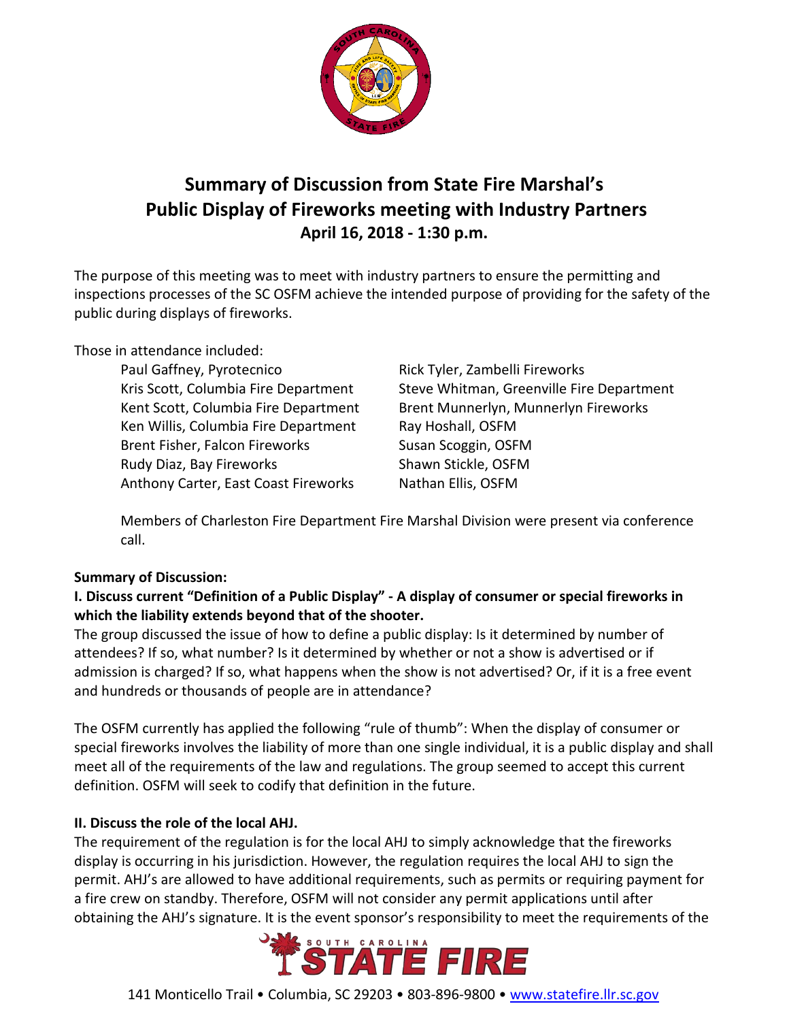

# **Summary of Discussion from State Fire Marshal's Public Display of Fireworks meeting with Industry Partners April 16, 2018 - 1:30 p.m.**

The purpose of this meeting was to meet with industry partners to ensure the permitting and inspections processes of the SC OSFM achieve the intended purpose of providing for the safety of the public during displays of fireworks.

Those in attendance included:

Paul Gaffney, Pyrotecnico Rick Tyler, Zambelli Fireworks Ken Willis, Columbia Fire Department Ray Hoshall, OSFM Brent Fisher, Falcon Fireworks Susan Scoggin, OSFM Rudy Diaz, Bay Fireworks Shawn Stickle, OSFM Anthony Carter, East Coast Fireworks Nathan Ellis, OSFM

Kris Scott, Columbia Fire Department Steve Whitman, Greenville Fire Department Kent Scott, Columbia Fire Department Brent Munnerlyn, Munnerlyn Fireworks

Members of Charleston Fire Department Fire Marshal Division were present via conference call.

#### **Summary of Discussion:**

# **I. Discuss current "Definition of a Public Display" - A display of consumer or special fireworks in which the liability extends beyond that of the shooter.**

The group discussed the issue of how to define a public display: Is it determined by number of attendees? If so, what number? Is it determined by whether or not a show is advertised or if admission is charged? If so, what happens when the show is not advertised? Or, if it is a free event and hundreds or thousands of people are in attendance?

The OSFM currently has applied the following "rule of thumb": When the display of consumer or special fireworks involves the liability of more than one single individual, it is a public display and shall meet all of the requirements of the law and regulations. The group seemed to accept this current definition. OSFM will seek to codify that definition in the future.

# **II. Discuss the role of the local AHJ.**

The requirement of the regulation is for the local AHJ to simply acknowledge that the fireworks display is occurring in his jurisdiction. However, the regulation requires the local AHJ to sign the permit. AHJ's are allowed to have additional requirements, such as permits or requiring payment for a fire crew on standby. Therefore, OSFM will not consider any permit applications until after obtaining the AHJ's signature. It is the event sponsor's responsibility to meet the requirements of the

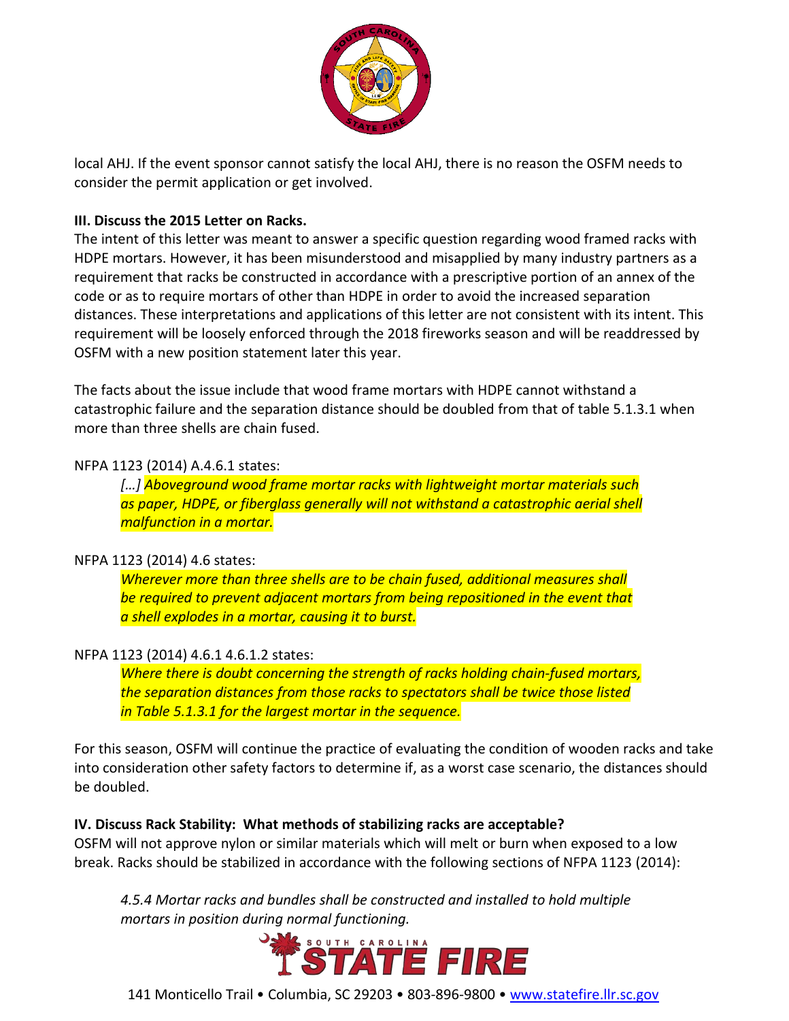

local AHJ. If the event sponsor cannot satisfy the local AHJ, there is no reason the OSFM needs to consider the permit application or get involved.

## **III. Discuss the 2015 Letter on Racks.**

The intent of this letter was meant to answer a specific question regarding wood framed racks with HDPE mortars. However, it has been misunderstood and misapplied by many industry partners as a requirement that racks be constructed in accordance with a prescriptive portion of an annex of the code or as to require mortars of other than HDPE in order to avoid the increased separation distances. These interpretations and applications of this letter are not consistent with its intent. This requirement will be loosely enforced through the 2018 fireworks season and will be readdressed by OSFM with a new position statement later this year.

The facts about the issue include that wood frame mortars with HDPE cannot withstand a catastrophic failure and the separation distance should be doubled from that of table 5.1.3.1 when more than three shells are chain fused.

#### NFPA 1123 (2014) A.4.6.1 states:

*[…] Aboveground wood frame mortar racks with lightweight mortar materials such as paper, HDPE, or fiberglass generally will not withstand a catastrophic aerial shell malfunction in a mortar.* 

#### NFPA 1123 (2014) 4.6 states:

*Wherever more than three shells are to be chain fused, additional measures shall be required to prevent adjacent mortars from being repositioned in the event that a shell explodes in a mortar, causing it to burst.* 

#### NFPA 1123 (2014) 4.6.1 4.6.1.2 states:

*Where there is doubt concerning the strength of racks holding chain-fused mortars, the separation distances from those racks to spectators shall be twice those listed in Table 5.1.3.1 for the largest mortar in the sequence.* 

For this season, OSFM will continue the practice of evaluating the condition of wooden racks and take into consideration other safety factors to determine if, as a worst case scenario, the distances should be doubled.

#### **IV. Discuss Rack Stability: What methods of stabilizing racks are acceptable?**

OSFM will not approve nylon or similar materials which will melt or burn when exposed to a low break. Racks should be stabilized in accordance with the following sections of NFPA 1123 (2014):

*4.5.4 Mortar racks and bundles shall be constructed and installed to hold multiple* 



141 Monticello Trail • Columbia, SC 29203 • 803-896-9800 • [www.statefire.llr.sc.gov](http://www.statefire.llr.sc.gov/)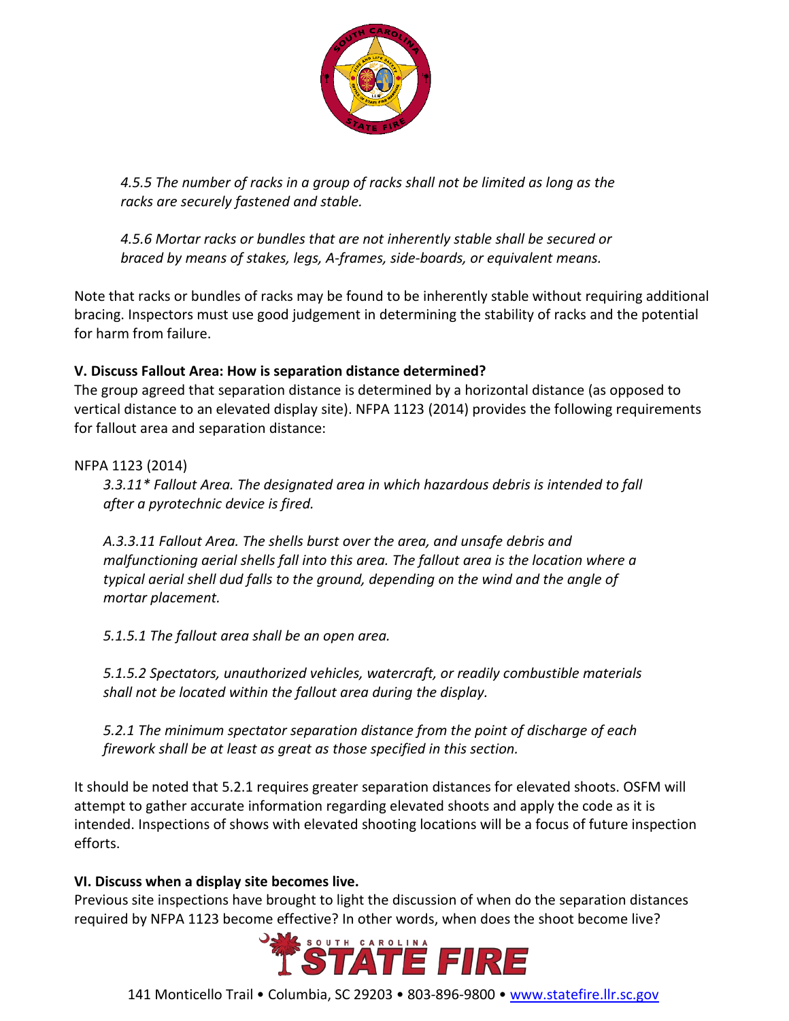

*4.5.5 The number of racks in a group of racks shall not be limited as long as the racks are securely fastened and stable.*

*4.5.6 Mortar racks or bundles that are not inherently stable shall be secured or braced by means of stakes, legs, A-frames, side-boards, or equivalent means.*

Note that racks or bundles of racks may be found to be inherently stable without requiring additional bracing. Inspectors must use good judgement in determining the stability of racks and the potential for harm from failure.

## **V. Discuss Fallout Area: How is separation distance determined?**

The group agreed that separation distance is determined by a horizontal distance (as opposed to vertical distance to an elevated display site). NFPA 1123 (2014) provides the following requirements for fallout area and separation distance:

## NFPA 1123 (2014)

*3.3.11\* Fallout Area. The designated area in which hazardous debris is intended to fall after a pyrotechnic device is fired.*

*A.3.3.11 Fallout Area. The shells burst over the area, and unsafe debris and malfunctioning aerial shells fall into this area. The fallout area is the location where a typical aerial shell dud falls to the ground, depending on the wind and the angle of mortar placement.*

*5.1.5.1 The fallout area shall be an open area.* 

*5.1.5.2 Spectators, unauthorized vehicles, watercraft, or readily combustible materials shall not be located within the fallout area during the display.*

*5.2.1 The minimum spectator separation distance from the point of discharge of each firework shall be at least as great as those specified in this section.*

It should be noted that 5.2.1 requires greater separation distances for elevated shoots. OSFM will attempt to gather accurate information regarding elevated shoots and apply the code as it is intended. Inspections of shows with elevated shooting locations will be a focus of future inspection efforts.

#### **VI. Discuss when a display site becomes live.**

Previous site inspections have brought to light the discussion of when do the separation distances required by NFPA 1123 become effective? In other words, when does the shoot become live?



141 Monticello Trail • Columbia, SC 29203 • 803-896-9800 • [www.statefire.llr.sc.gov](http://www.statefire.llr.sc.gov/)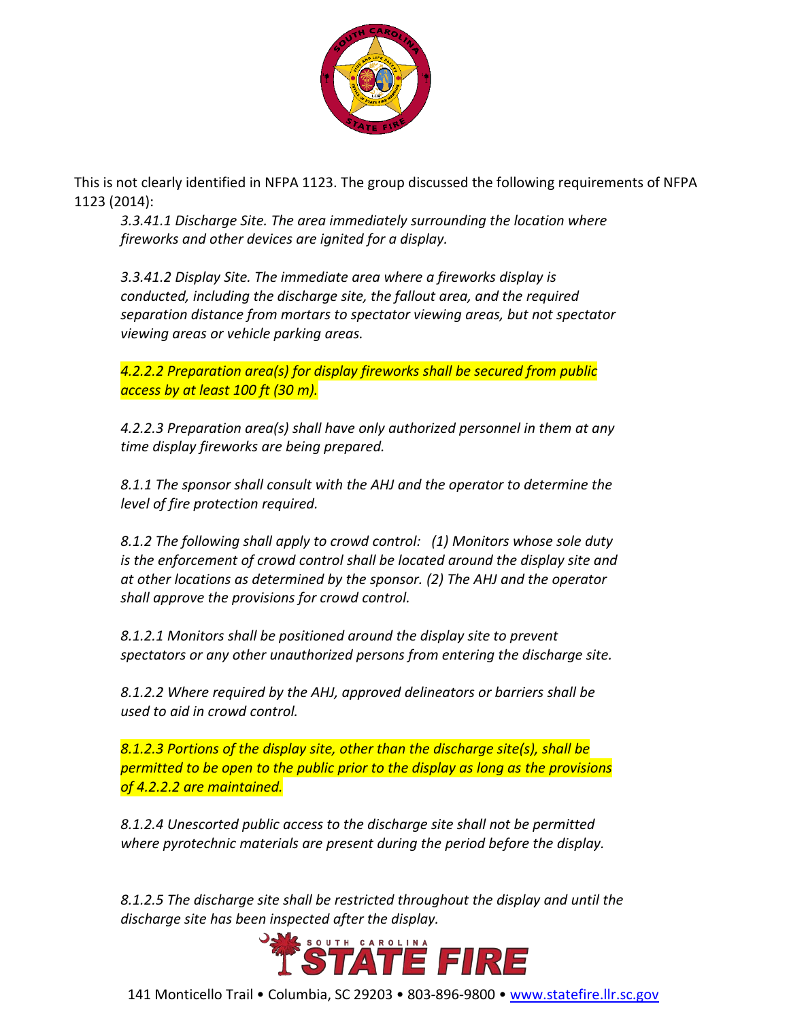

This is not clearly identified in NFPA 1123. The group discussed the following requirements of NFPA 1123 (2014):

*3.3.41.1 Discharge Site. The area immediately surrounding the location where fireworks and other devices are ignited for a display.*

*3.3.41.2 Display Site. The immediate area where a fireworks display is conducted, including the discharge site, the fallout area, and the required separation distance from mortars to spectator viewing areas, but not spectator viewing areas or vehicle parking areas.*

*4.2.2.2 Preparation area(s) for display fireworks shall be secured from public access by at least 100 ft (30 m).*

*4.2.2.3 Preparation area(s) shall have only authorized personnel in them at any time display fireworks are being prepared.*

*8.1.1 The sponsor shall consult with the AHJ and the operator to determine the level of fire protection required.*

*8.1.2 The following shall apply to crowd control: (1) Monitors whose sole duty is the enforcement of crowd control shall be located around the display site and at other locations as determined by the sponsor. (2) The AHJ and the operator shall approve the provisions for crowd control.*

*8.1.2.1 Monitors shall be positioned around the display site to prevent spectators or any other unauthorized persons from entering the discharge site.*

*8.1.2.2 Where required by the AHJ, approved delineators or barriers shall be used to aid in crowd control.*

*8.1.2.3 Portions of the display site, other than the discharge site(s), shall be permitted to be open to the public prior to the display as long as the provisions of 4.2.2.2 are maintained.*

*8.1.2.4 Unescorted public access to the discharge site shall not be permitted where pyrotechnic materials are present during the period before the display.*

*8.1.2.5 The discharge site shall be restricted throughout the display and until the discharge site has been inspected after the display.*



141 Monticello Trail • Columbia, SC 29203 • 803-896-9800 • [www.statefire.llr.sc.gov](http://www.statefire.llr.sc.gov/)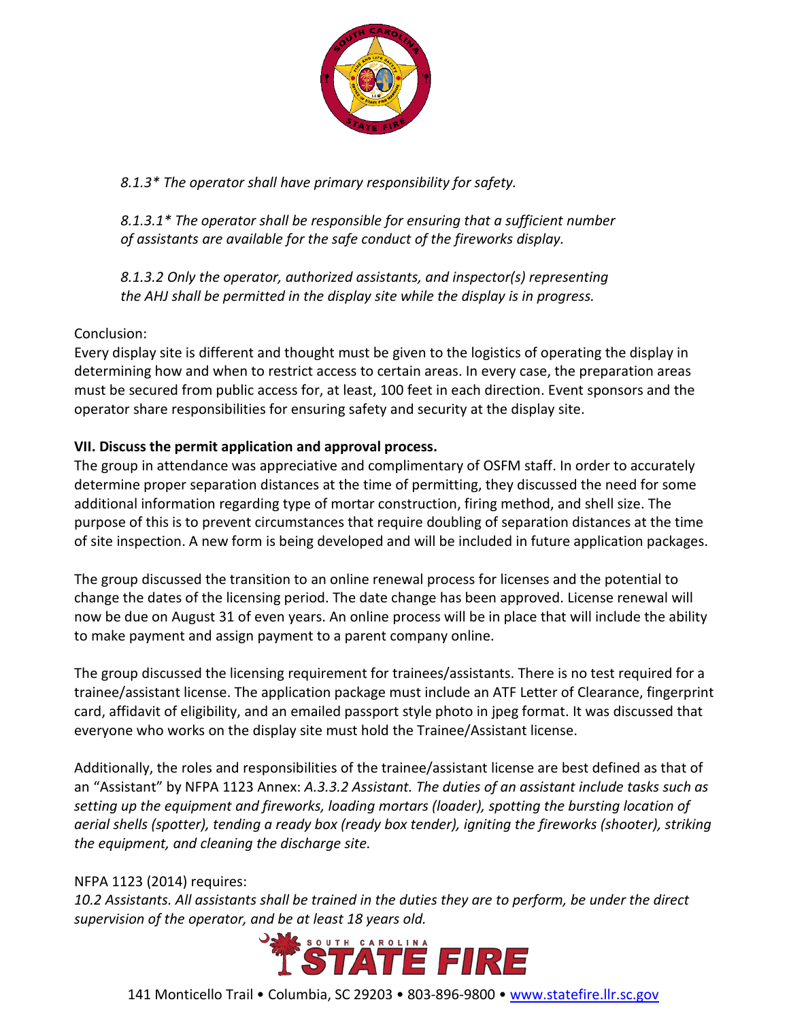

*8.1.3\* The operator shall have primary responsibility for safety.*

*8.1.3.1\* The operator shall be responsible for ensuring that a sufficient number of assistants are available for the safe conduct of the fireworks display.*

*8.1.3.2 Only the operator, authorized assistants, and inspector(s) representing the AHJ shall be permitted in the display site while the display is in progress.*

# Conclusion:

Every display site is different and thought must be given to the logistics of operating the display in determining how and when to restrict access to certain areas. In every case, the preparation areas must be secured from public access for, at least, 100 feet in each direction. Event sponsors and the operator share responsibilities for ensuring safety and security at the display site.

## **VII. Discuss the permit application and approval process.**

The group in attendance was appreciative and complimentary of OSFM staff. In order to accurately determine proper separation distances at the time of permitting, they discussed the need for some additional information regarding type of mortar construction, firing method, and shell size. The purpose of this is to prevent circumstances that require doubling of separation distances at the time of site inspection. A new form is being developed and will be included in future application packages.

The group discussed the transition to an online renewal process for licenses and the potential to change the dates of the licensing period. The date change has been approved. License renewal will now be due on August 31 of even years. An online process will be in place that will include the ability to make payment and assign payment to a parent company online.

The group discussed the licensing requirement for trainees/assistants. There is no test required for a trainee/assistant license. The application package must include an ATF Letter of Clearance, fingerprint card, affidavit of eligibility, and an emailed passport style photo in jpeg format. It was discussed that everyone who works on the display site must hold the Trainee/Assistant license.

Additionally, the roles and responsibilities of the trainee/assistant license are best defined as that of an "Assistant" by NFPA 1123 Annex: *A.3.3.2 Assistant. The duties of an assistant include tasks such as setting up the equipment and fireworks, loading mortars (loader), spotting the bursting location of aerial shells (spotter), tending a ready box (ready box tender), igniting the fireworks (shooter), striking the equipment, and cleaning the discharge site.*

#### NFPA 1123 (2014) requires:

*10.2 Assistants. All assistants shall be trained in the duties they are to perform, be under the direct*